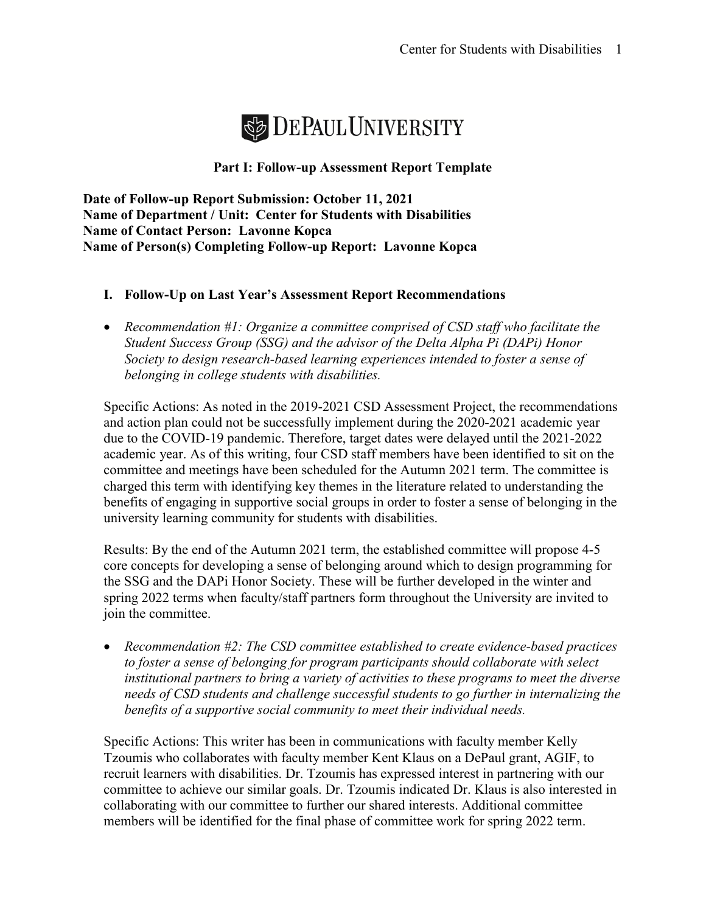

# **Part I: Follow-up Assessment Report Template**

**Date of Follow-up Report Submission: October 11, 2021 Name of Department / Unit: Center for Students with Disabilities Name of Contact Person: Lavonne Kopca Name of Person(s) Completing Follow-up Report: Lavonne Kopca**

# **I. Follow-Up on Last Year's Assessment Report Recommendations**

• *Recommendation #1: Organize a committee comprised of CSD staff who facilitate the Student Success Group (SSG) and the advisor of the Delta Alpha Pi (DAPi) Honor Society to design research-based learning experiences intended to foster a sense of belonging in college students with disabilities.* 

Specific Actions: As noted in the 2019-2021 CSD Assessment Project, the recommendations and action plan could not be successfully implement during the 2020-2021 academic year due to the COVID-19 pandemic. Therefore, target dates were delayed until the 2021-2022 academic year. As of this writing, four CSD staff members have been identified to sit on the committee and meetings have been scheduled for the Autumn 2021 term. The committee is charged this term with identifying key themes in the literature related to understanding the benefits of engaging in supportive social groups in order to foster a sense of belonging in the university learning community for students with disabilities.

Results: By the end of the Autumn 2021 term, the established committee will propose 4-5 core concepts for developing a sense of belonging around which to design programming for the SSG and the DAPi Honor Society. These will be further developed in the winter and spring 2022 terms when faculty/staff partners form throughout the University are invited to join the committee.

• *Recommendation #2: The CSD committee established to create evidence-based practices to foster a sense of belonging for program participants should collaborate with select institutional partners to bring a variety of activities to these programs to meet the diverse needs of CSD students and challenge successful students to go further in internalizing the benefits of a supportive social community to meet their individual needs.* 

Specific Actions: This writer has been in communications with faculty member Kelly Tzoumis who collaborates with faculty member Kent Klaus on a DePaul grant, AGIF, to recruit learners with disabilities. Dr. Tzoumis has expressed interest in partnering with our committee to achieve our similar goals. Dr. Tzoumis indicated Dr. Klaus is also interested in collaborating with our committee to further our shared interests. Additional committee members will be identified for the final phase of committee work for spring 2022 term.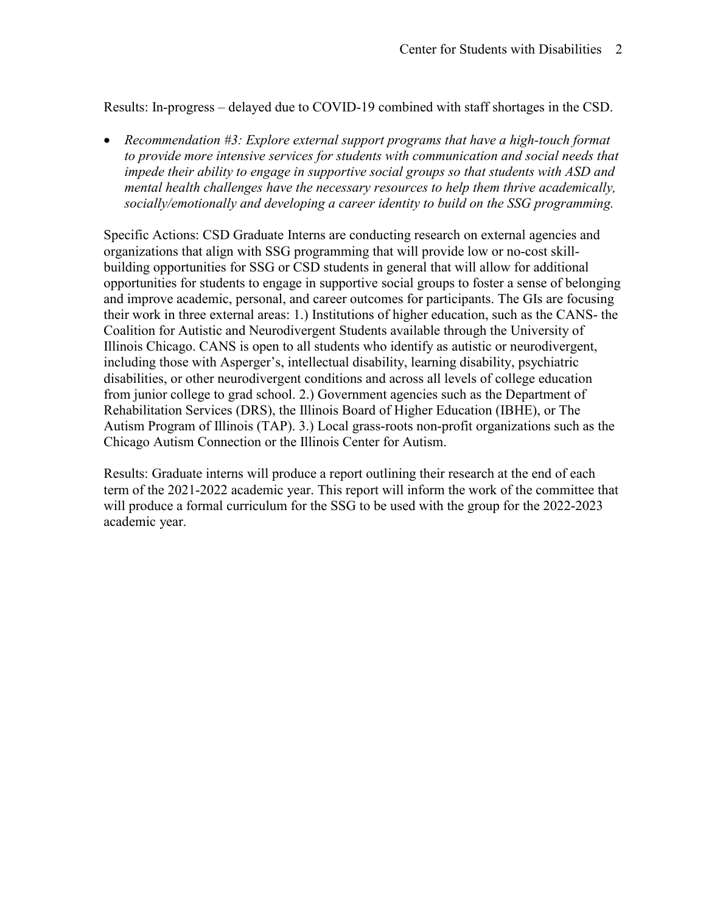Results: In-progress – delayed due to COVID-19 combined with staff shortages in the CSD.

• *Recommendation #3: Explore external support programs that have a high-touch format to provide more intensive services for students with communication and social needs that impede their ability to engage in supportive social groups so that students with ASD and mental health challenges have the necessary resources to help them thrive academically, socially/emotionally and developing a career identity to build on the SSG programming.*

Specific Actions: CSD Graduate Interns are conducting research on external agencies and organizations that align with SSG programming that will provide low or no-cost skillbuilding opportunities for SSG or CSD students in general that will allow for additional opportunities for students to engage in supportive social groups to foster a sense of belonging and improve academic, personal, and career outcomes for participants. The GIs are focusing their work in three external areas: 1.) Institutions of higher education, such as the CANS- the Coalition for Autistic and Neurodivergent Students available through the University of Illinois Chicago. CANS is open to all students who identify as autistic or neurodivergent, including those with Asperger's, intellectual disability, learning disability, psychiatric disabilities, or other neurodivergent conditions and across all levels of college education from junior college to grad school. 2.) Government agencies such as the Department of Rehabilitation Services (DRS), the Illinois Board of Higher Education (IBHE), or The Autism Program of Illinois (TAP). 3.) Local grass-roots non-profit organizations such as the Chicago Autism Connection or the Illinois Center for Autism.

Results: Graduate interns will produce a report outlining their research at the end of each term of the 2021-2022 academic year. This report will inform the work of the committee that will produce a formal curriculum for the SSG to be used with the group for the 2022-2023 academic year.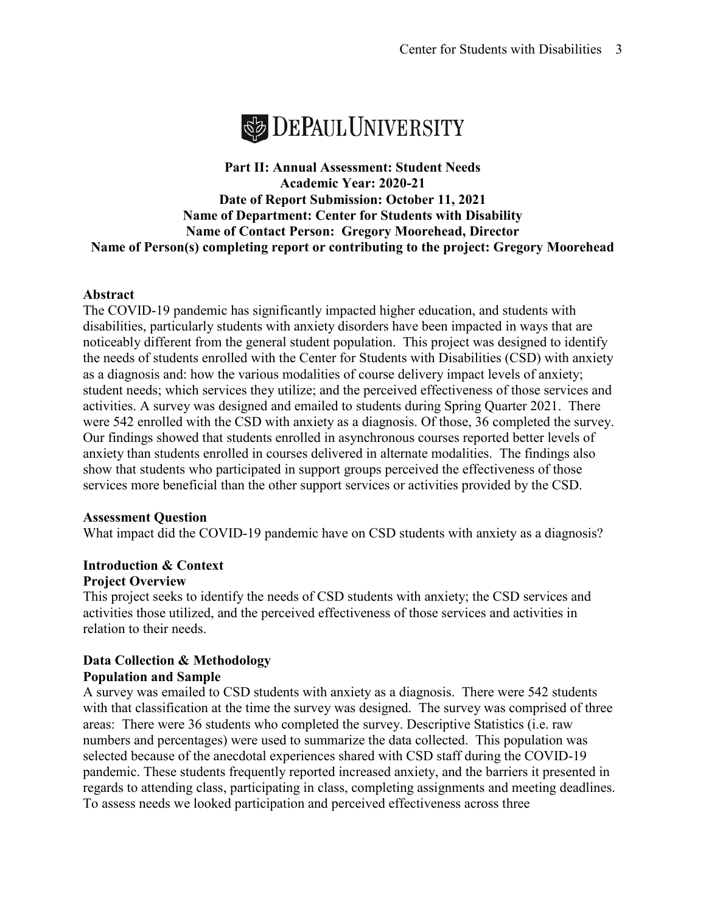

# **Part II: Annual Assessment: Student Needs Academic Year: 2020-21 Date of Report Submission: October 11, 2021 Name of Department: Center for Students with Disability Name of Contact Person: Gregory Moorehead, Director Name of Person(s) completing report or contributing to the project: Gregory Moorehead**

# **Abstract**

The COVID-19 pandemic has significantly impacted higher education, and students with disabilities, particularly students with anxiety disorders have been impacted in ways that are noticeably different from the general student population. This project was designed to identify the needs of students enrolled with the Center for Students with Disabilities (CSD) with anxiety as a diagnosis and: how the various modalities of course delivery impact levels of anxiety; student needs; which services they utilize; and the perceived effectiveness of those services and activities. A survey was designed and emailed to students during Spring Quarter 2021. There were 542 enrolled with the CSD with anxiety as a diagnosis. Of those, 36 completed the survey. Our findings showed that students enrolled in asynchronous courses reported better levels of anxiety than students enrolled in courses delivered in alternate modalities. The findings also show that students who participated in support groups perceived the effectiveness of those services more beneficial than the other support services or activities provided by the CSD.

# **Assessment Question**

What impact did the COVID-19 pandemic have on CSD students with anxiety as a diagnosis?

#### **Introduction & Context Project Overview**

This project seeks to identify the needs of CSD students with anxiety; the CSD services and activities those utilized, and the perceived effectiveness of those services and activities in relation to their needs.

# **Data Collection & Methodology Population and Sample**

A survey was emailed to CSD students with anxiety as a diagnosis. There were 542 students with that classification at the time the survey was designed. The survey was comprised of three areas: There were 36 students who completed the survey. Descriptive Statistics (i.e. raw numbers and percentages) were used to summarize the data collected. This population was selected because of the anecdotal experiences shared with CSD staff during the COVID-19 pandemic. These students frequently reported increased anxiety, and the barriers it presented in regards to attending class, participating in class, completing assignments and meeting deadlines. To assess needs we looked participation and perceived effectiveness across three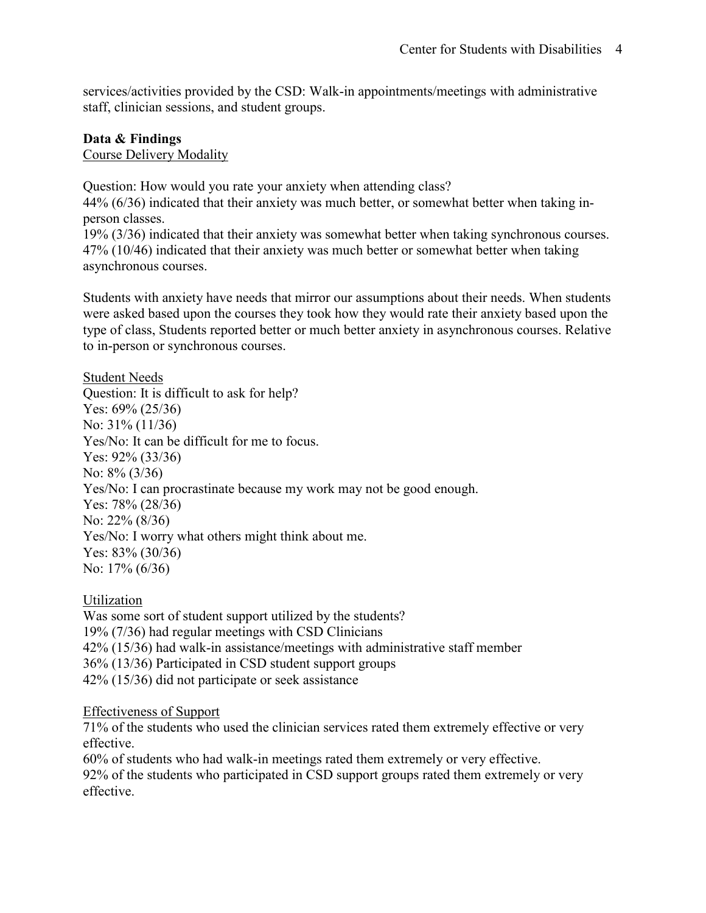services/activities provided by the CSD: Walk-in appointments/meetings with administrative staff, clinician sessions, and student groups.

# **Data & Findings**

Course Delivery Modality

Question: How would you rate your anxiety when attending class? 44% (6/36) indicated that their anxiety was much better, or somewhat better when taking in-

person classes. 19% (3/36) indicated that their anxiety was somewhat better when taking synchronous courses. 47% (10/46) indicated that their anxiety was much better or somewhat better when taking asynchronous courses.

Students with anxiety have needs that mirror our assumptions about their needs. When students were asked based upon the courses they took how they would rate their anxiety based upon the type of class, Students reported better or much better anxiety in asynchronous courses. Relative to in-person or synchronous courses.

# Student Needs Question: It is difficult to ask for help? Yes: 69% (25/36) No: 31% (11/36) Yes/No: It can be difficult for me to focus. Yes: 92% (33/36) No: 8% (3/36) Yes/No: I can procrastinate because my work may not be good enough. Yes: 78% (28/36) No: 22% (8/36) Yes/No: I worry what others might think about me. Yes: 83% (30/36) No: 17% (6/36)

Utilization Was some sort of student support utilized by the students? 19% (7/36) had regular meetings with CSD Clinicians 42% (15/36) had walk-in assistance/meetings with administrative staff member 36% (13/36) Participated in CSD student support groups 42% (15/36) did not participate or seek assistance

# Effectiveness of Support

71% of the students who used the clinician services rated them extremely effective or very effective.

60% of students who had walk-in meetings rated them extremely or very effective. 92% of the students who participated in CSD support groups rated them extremely or very effective.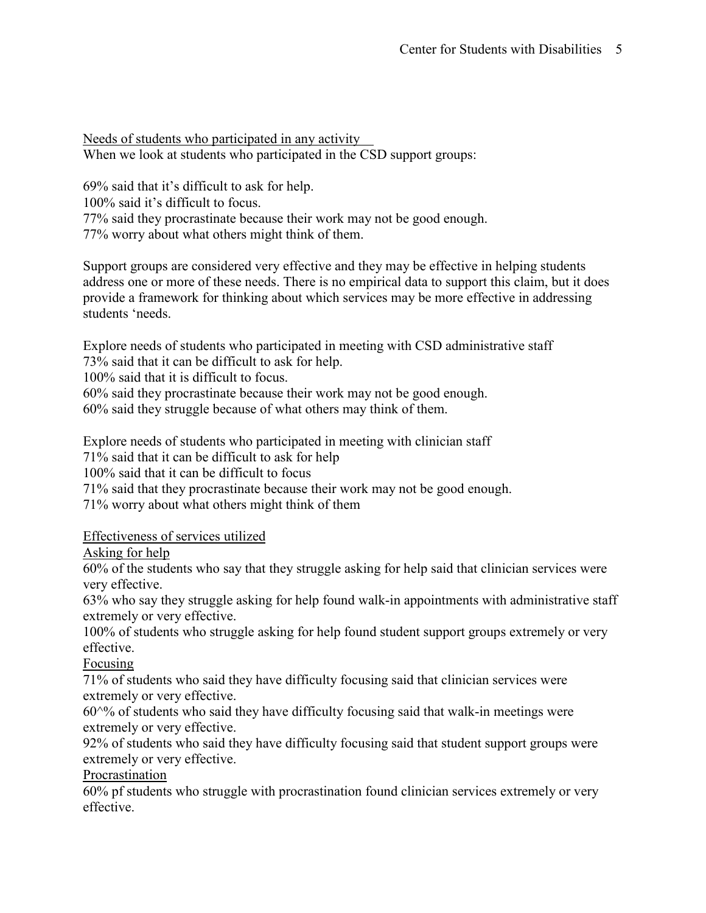Needs of students who participated in any activity When we look at students who participated in the CSD support groups:

69% said that it's difficult to ask for help. 100% said it's difficult to focus. 77% said they procrastinate because their work may not be good enough. 77% worry about what others might think of them.

Support groups are considered very effective and they may be effective in helping students address one or more of these needs. There is no empirical data to support this claim, but it does provide a framework for thinking about which services may be more effective in addressing students 'needs.

Explore needs of students who participated in meeting with CSD administrative staff 73% said that it can be difficult to ask for help.

100% said that it is difficult to focus.

60% said they procrastinate because their work may not be good enough.

60% said they struggle because of what others may think of them.

Explore needs of students who participated in meeting with clinician staff

71% said that it can be difficult to ask for help

100% said that it can be difficult to focus

71% said that they procrastinate because their work may not be good enough.

71% worry about what others might think of them

Effectiveness of services utilized

Asking for help

60% of the students who say that they struggle asking for help said that clinician services were very effective.

63% who say they struggle asking for help found walk-in appointments with administrative staff extremely or very effective.

100% of students who struggle asking for help found student support groups extremely or very effective.

Focusing

71% of students who said they have difficulty focusing said that clinician services were extremely or very effective.

 $60^{\text{40}}$  of students who said they have difficulty focusing said that walk-in meetings were extremely or very effective.

92% of students who said they have difficulty focusing said that student support groups were extremely or very effective.

Procrastination

60% pf students who struggle with procrastination found clinician services extremely or very effective.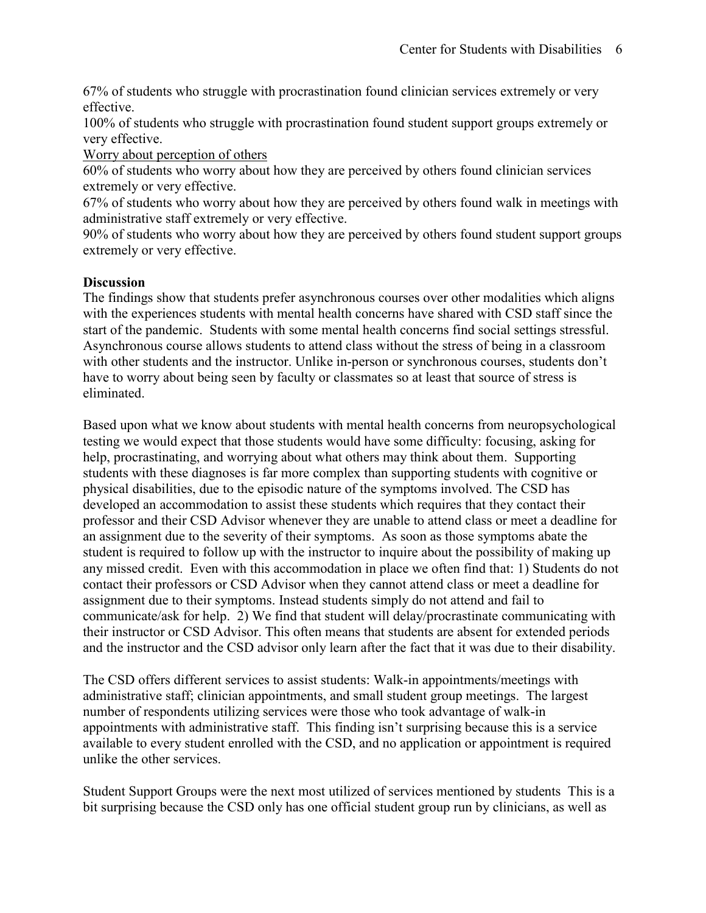67% of students who struggle with procrastination found clinician services extremely or very effective.

100% of students who struggle with procrastination found student support groups extremely or very effective.

Worry about perception of others

60% of students who worry about how they are perceived by others found clinician services extremely or very effective.

67% of students who worry about how they are perceived by others found walk in meetings with administrative staff extremely or very effective.

90% of students who worry about how they are perceived by others found student support groups extremely or very effective.

# **Discussion**

The findings show that students prefer asynchronous courses over other modalities which aligns with the experiences students with mental health concerns have shared with CSD staff since the start of the pandemic. Students with some mental health concerns find social settings stressful. Asynchronous course allows students to attend class without the stress of being in a classroom with other students and the instructor. Unlike in-person or synchronous courses, students don't have to worry about being seen by faculty or classmates so at least that source of stress is eliminated.

Based upon what we know about students with mental health concerns from neuropsychological testing we would expect that those students would have some difficulty: focusing, asking for help, procrastinating, and worrying about what others may think about them. Supporting students with these diagnoses is far more complex than supporting students with cognitive or physical disabilities, due to the episodic nature of the symptoms involved. The CSD has developed an accommodation to assist these students which requires that they contact their professor and their CSD Advisor whenever they are unable to attend class or meet a deadline for an assignment due to the severity of their symptoms. As soon as those symptoms abate the student is required to follow up with the instructor to inquire about the possibility of making up any missed credit. Even with this accommodation in place we often find that: 1) Students do not contact their professors or CSD Advisor when they cannot attend class or meet a deadline for assignment due to their symptoms. Instead students simply do not attend and fail to communicate/ask for help. 2) We find that student will delay/procrastinate communicating with their instructor or CSD Advisor. This often means that students are absent for extended periods and the instructor and the CSD advisor only learn after the fact that it was due to their disability.

The CSD offers different services to assist students: Walk-in appointments/meetings with administrative staff; clinician appointments, and small student group meetings. The largest number of respondents utilizing services were those who took advantage of walk-in appointments with administrative staff. This finding isn't surprising because this is a service available to every student enrolled with the CSD, and no application or appointment is required unlike the other services.

Student Support Groups were the next most utilized of services mentioned by students This is a bit surprising because the CSD only has one official student group run by clinicians, as well as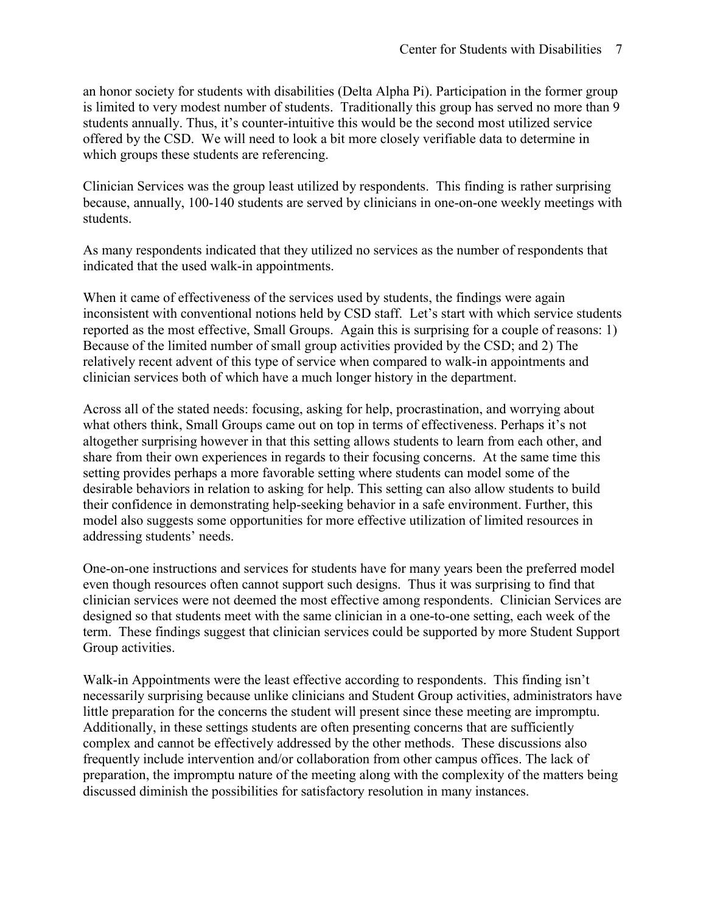an honor society for students with disabilities (Delta Alpha Pi). Participation in the former group is limited to very modest number of students. Traditionally this group has served no more than 9 students annually. Thus, it's counter-intuitive this would be the second most utilized service offered by the CSD. We will need to look a bit more closely verifiable data to determine in which groups these students are referencing.

Clinician Services was the group least utilized by respondents. This finding is rather surprising because, annually, 100-140 students are served by clinicians in one-on-one weekly meetings with students.

As many respondents indicated that they utilized no services as the number of respondents that indicated that the used walk-in appointments.

When it came of effectiveness of the services used by students, the findings were again inconsistent with conventional notions held by CSD staff. Let's start with which service students reported as the most effective, Small Groups. Again this is surprising for a couple of reasons: 1) Because of the limited number of small group activities provided by the CSD; and 2) The relatively recent advent of this type of service when compared to walk-in appointments and clinician services both of which have a much longer history in the department.

Across all of the stated needs: focusing, asking for help, procrastination, and worrying about what others think, Small Groups came out on top in terms of effectiveness. Perhaps it's not altogether surprising however in that this setting allows students to learn from each other, and share from their own experiences in regards to their focusing concerns. At the same time this setting provides perhaps a more favorable setting where students can model some of the desirable behaviors in relation to asking for help. This setting can also allow students to build their confidence in demonstrating help-seeking behavior in a safe environment. Further, this model also suggests some opportunities for more effective utilization of limited resources in addressing students' needs.

One-on-one instructions and services for students have for many years been the preferred model even though resources often cannot support such designs. Thus it was surprising to find that clinician services were not deemed the most effective among respondents. Clinician Services are designed so that students meet with the same clinician in a one-to-one setting, each week of the term. These findings suggest that clinician services could be supported by more Student Support Group activities.

Walk-in Appointments were the least effective according to respondents. This finding isn't necessarily surprising because unlike clinicians and Student Group activities, administrators have little preparation for the concerns the student will present since these meeting are impromptu. Additionally, in these settings students are often presenting concerns that are sufficiently complex and cannot be effectively addressed by the other methods. These discussions also frequently include intervention and/or collaboration from other campus offices. The lack of preparation, the impromptu nature of the meeting along with the complexity of the matters being discussed diminish the possibilities for satisfactory resolution in many instances.